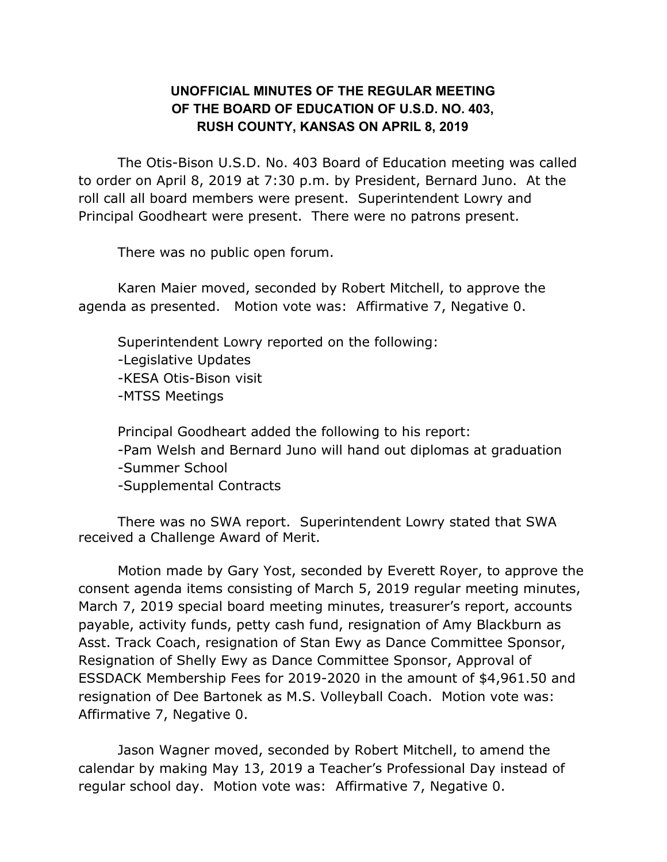## **UNOFFICIAL MINUTES OF THE REGULAR MEETING OF THE BOARD OF EDUCATION OF U.S.D. NO. 403, RUSH COUNTY, KANSAS ON APRIL 8, 2019**

The Otis-Bison U.S.D. No. 403 Board of Education meeting was called to order on April 8, 2019 at 7:30 p.m. by President, Bernard Juno. At the roll call all board members were present. Superintendent Lowry and Principal Goodheart were present. There were no patrons present.

There was no public open forum.

Karen Maier moved, seconded by Robert Mitchell, to approve the agenda as presented. Motion vote was: Affirmative 7, Negative 0.

Superintendent Lowry reported on the following: -Legislative Updates -KESA Otis-Bison visit -MTSS Meetings

Principal Goodheart added the following to his report: -Pam Welsh and Bernard Juno will hand out diplomas at graduation -Summer School -Supplemental Contracts

There was no SWA report. Superintendent Lowry stated that SWA received a Challenge Award of Merit.

Motion made by Gary Yost, seconded by Everett Royer, to approve the consent agenda items consisting of March 5, 2019 regular meeting minutes, March 7, 2019 special board meeting minutes, treasurer's report, accounts payable, activity funds, petty cash fund, resignation of Amy Blackburn as Asst. Track Coach, resignation of Stan Ewy as Dance Committee Sponsor, Resignation of Shelly Ewy as Dance Committee Sponsor, Approval of ESSDACK Membership Fees for 2019-2020 in the amount of \$4,961.50 and resignation of Dee Bartonek as M.S. Volleyball Coach. Motion vote was: Affirmative 7, Negative 0.

Jason Wagner moved, seconded by Robert Mitchell, to amend the calendar by making May 13, 2019 a Teacher's Professional Day instead of regular school day. Motion vote was: Affirmative 7, Negative 0.